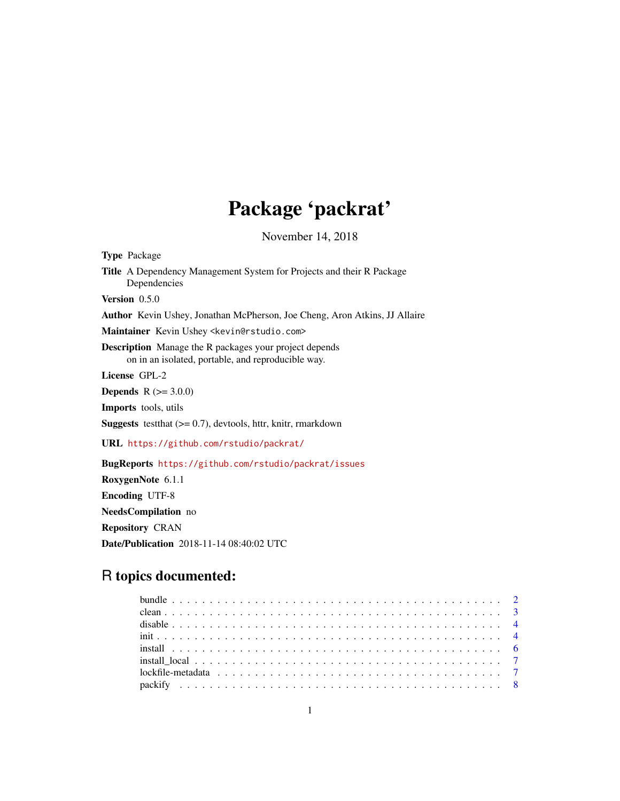# Package 'packrat'

November 14, 2018

<span id="page-0-0"></span>Type Package Title A Dependency Management System for Projects and their R Package Dependencies Version 0.5.0 Author Kevin Ushey, Jonathan McPherson, Joe Cheng, Aron Atkins, JJ Allaire Maintainer Kevin Ushey <kevin@rstudio.com> Description Manage the R packages your project depends on in an isolated, portable, and reproducible way. License GPL-2 **Depends** R  $(>= 3.0.0)$ Imports tools, utils **Suggests** test that  $(>= 0.7)$ , devtools, httr, knitr, rmarkdown URL <https://github.com/rstudio/packrat/> BugReports <https://github.com/rstudio/packrat/issues> RoxygenNote 6.1.1 Encoding UTF-8 NeedsCompilation no Repository CRAN

Date/Publication 2018-11-14 08:40:02 UTC

# R topics documented: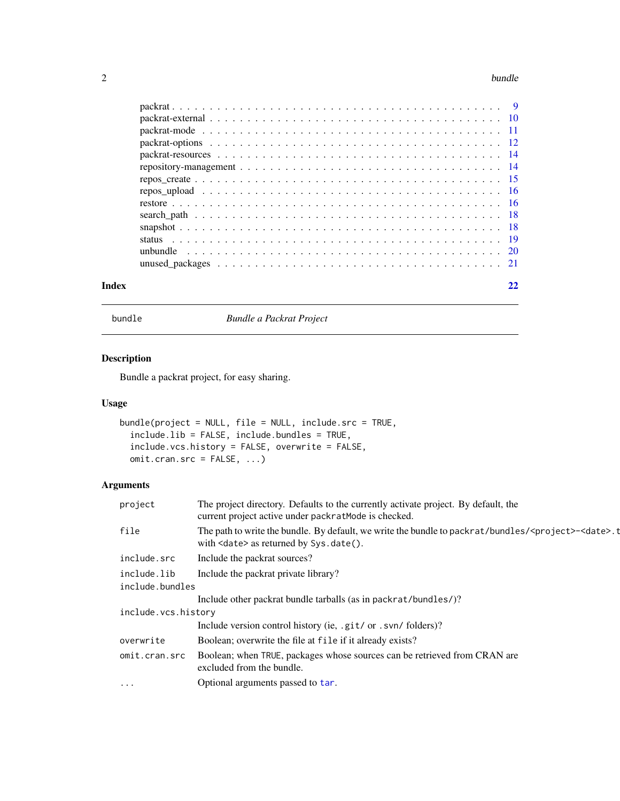#### <span id="page-1-0"></span> $2 \times 2$

| Index |  |
|-------|--|
|       |  |
|       |  |
|       |  |
|       |  |
|       |  |
|       |  |
|       |  |
|       |  |
|       |  |
|       |  |
|       |  |
|       |  |
|       |  |
|       |  |

bundle *Bundle a Packrat Project*

# Description

Bundle a packrat project, for easy sharing.

# Usage

```
bundle(project = NULL, file = NULL, include.src = TRUE,
  include.lib = FALSE, include.bundles = TRUE,
  include.vcs.history = FALSE, overwrite = FALSE,
 omit.cran.src = FALSE, ...)
```

| project             | The project directory. Defaults to the currently activate project. By default, the<br>current project active under packrat Mode is checked.                             |  |
|---------------------|-------------------------------------------------------------------------------------------------------------------------------------------------------------------------|--|
| file                | The path to write the bundle. By default, we write the bundle to packrat/bundles/ <project>-<date>.t<br/>with <date> as returned by Sys.date().</date></date></project> |  |
| include.src         | Include the packrat sources?                                                                                                                                            |  |
| include.lib         | Include the packrat private library?                                                                                                                                    |  |
| include.bundles     |                                                                                                                                                                         |  |
|                     | Include other packrat bundle tarballs (as in packrat/bundles/)?                                                                                                         |  |
| include.vcs.history |                                                                                                                                                                         |  |
|                     | Include version control history (ie, .git/ or .svn/folders)?                                                                                                            |  |
| overwrite           | Boolean; overwrite the file at file if it already exists?                                                                                                               |  |
| omit.cran.src       | Boolean; when TRUE, packages whose sources can be retrieved from CRAN are<br>excluded from the bundle.                                                                  |  |
| $\cdots$            | Optional arguments passed to tar.                                                                                                                                       |  |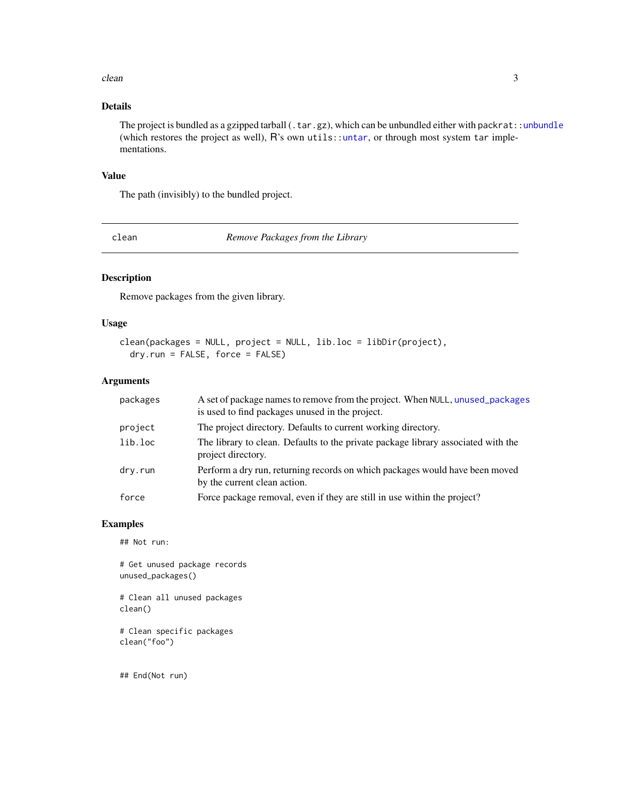#### <span id="page-2-0"></span> $clean$  3

# Details

The project is bundled as a gzipped tarball  $(.tar.gz)$ , which can be unbundled either with packrat:[:unbundle](#page-19-1) (which restores the project as well), R's own utils:[:untar](#page-0-0), or through most system tar implementations.

#### Value

The path (invisibly) to the bundled project.

clean *Remove Packages from the Library*

# Description

Remove packages from the given library.

# Usage

```
clean(packages = NULL, project = NULL, lib.loc = libDir(project),
 dry.run = FALSE, force = FALSE)
```
#### Arguments

| packages | A set of package names to remove from the project. When NULL, unused_packages<br>is used to find packages unused in the project. |
|----------|----------------------------------------------------------------------------------------------------------------------------------|
| project  | The project directory. Defaults to current working directory.                                                                    |
| lib.loc  | The library to clean. Defaults to the private package library associated with the<br>project directory.                          |
| dry.run  | Perform a dry run, returning records on which packages would have been moved<br>by the current clean action.                     |
| force    | Force package removal, even if they are still in use within the project?                                                         |

# Examples

## Not run:

# Get unused package records unused\_packages() # Clean all unused packages clean()

# Clean specific packages clean("foo")

## End(Not run)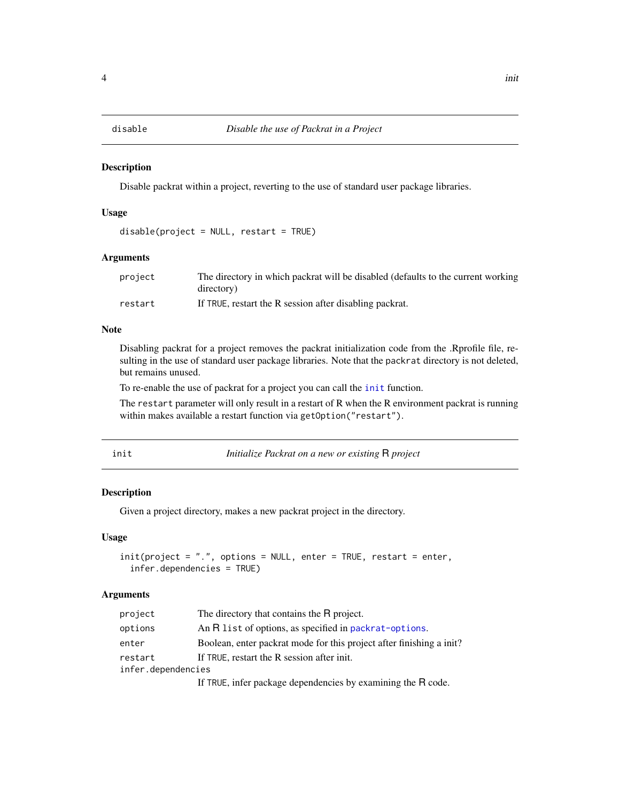<span id="page-3-0"></span>Disable packrat within a project, reverting to the use of standard user package libraries.

#### Usage

```
disable(project = NULL, restart = TRUE)
```
#### Arguments

| project | The directory in which packrat will be disabled (defaults to the current working |
|---------|----------------------------------------------------------------------------------|
|         | directory)                                                                       |
| restart | If TRUE, restart the R session after disabling packrat.                          |

# Note

Disabling packrat for a project removes the packrat initialization code from the .Rprofile file, resulting in the use of standard user package libraries. Note that the packrat directory is not deleted, but remains unused.

To re-enable the use of packrat for a project you can call the [init](#page-3-1) function.

The restart parameter will only result in a restart of R when the R environment packrat is running within makes available a restart function via getOption("restart").

<span id="page-3-1"></span>

|  | ۰, |
|--|----|

### init *Initialize Packrat on a new or existing* R *project*

#### Description

Given a project directory, makes a new packrat project in the directory.

#### Usage

```
init(project = ".", options = NULL, enter = TRUE, restart = enter,
  infer.dependencies = TRUE)
```

| project            | The directory that contains the R project.                           |
|--------------------|----------------------------------------------------------------------|
| options            | An R list of options, as specified in packrat-options.               |
| enter              | Boolean, enter packrat mode for this project after finishing a init? |
| restart            | If TRUE, restart the R session after init.                           |
| infer.dependencies |                                                                      |
|                    | If TRUE, infer package dependencies by examining the R code.         |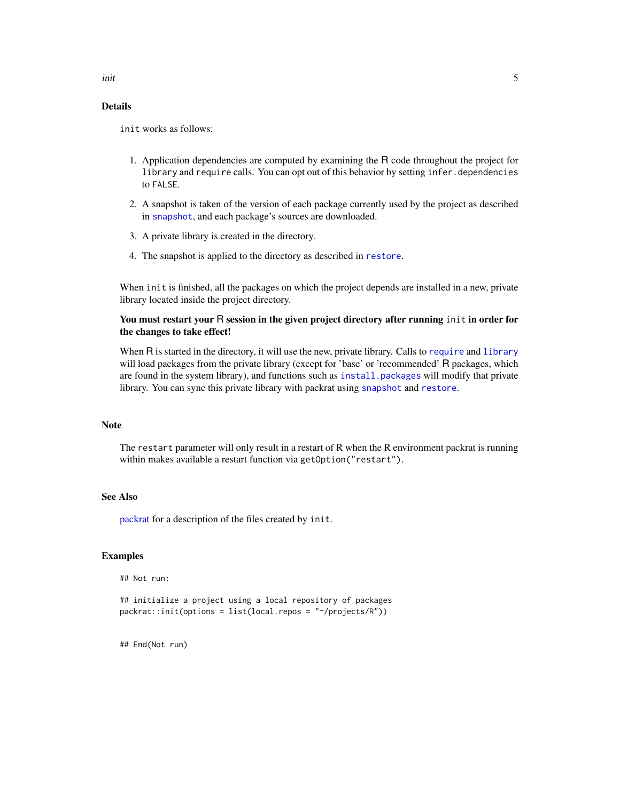# <span id="page-4-0"></span>init works as follows:

- 1. Application dependencies are computed by examining the R code throughout the project for library and require calls. You can opt out of this behavior by setting infer.dependencies to FALSE.
- 2. A snapshot is taken of the version of each package currently used by the project as described in [snapshot](#page-17-1), and each package's sources are downloaded.
- 3. A private library is created in the directory.
- 4. The snapshot is applied to the directory as described in [restore](#page-15-1).

When init is finished, all the packages on which the project depends are installed in a new, private library located inside the project directory.

# You must restart your R session in the given project directory after running init in order for the changes to take effect!

When R is started in the directory, it will use the new, private library. Calls to [require](#page-0-0) and [library](#page-0-0) will load packages from the private library (except for 'base' or 'recommended' R packages, which are found in the system library), and functions such as [install.packages](#page-0-0) will modify that private library. You can sync this private library with packrat using [snapshot](#page-17-1) and [restore](#page-15-1).

# **Note**

The restart parameter will only result in a restart of R when the R environment packrat is running within makes available a restart function via getOption("restart").

# See Also

[packrat](#page-8-1) for a description of the files created by init.

#### Examples

```
## Not run:
```

```
## initialize a project using a local repository of packages
packrat::init(options = list(local.repos = "~/projects/R"))
```
## End(Not run)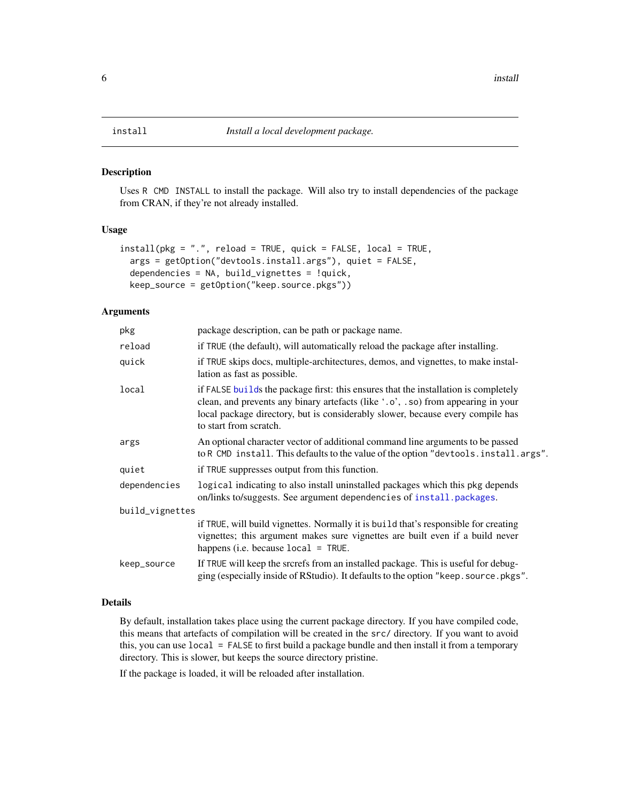<span id="page-5-1"></span><span id="page-5-0"></span>Uses R CMD INSTALL to install the package. Will also try to install dependencies of the package from CRAN, if they're not already installed.

#### Usage

```
install(pkg = ".", reload = TRUE, quick = FALSE, local = TRUE,
 args = getOption("devtools.install.args"), quiet = FALSE,
 dependencies = NA, build_vignettes = !quick,
 keep_source = getOption("keep.source.pkgs"))
```
# Arguments

| pkg             | package description, can be path or package name.                                                                                                                                                                                                                                   |
|-----------------|-------------------------------------------------------------------------------------------------------------------------------------------------------------------------------------------------------------------------------------------------------------------------------------|
| reload          | if TRUE (the default), will automatically reload the package after installing.                                                                                                                                                                                                      |
| quick           | if TRUE skips does, multiple-architectures, demos, and vignettes, to make instal-<br>lation as fast as possible.                                                                                                                                                                    |
| local           | if FALSE builds the package first: this ensures that the installation is completely<br>clean, and prevents any binary artefacts (like '.o', .so) from appearing in your<br>local package directory, but is considerably slower, because every compile has<br>to start from scratch. |
| args            | An optional character vector of additional command line arguments to be passed<br>to R CMD install. This defaults to the value of the option "devtools. install.args".                                                                                                              |
| quiet           | if TRUE suppresses output from this function.                                                                                                                                                                                                                                       |
| dependencies    | logical indicating to also install uninstalled packages which this pkg depends<br>on/links to/suggests. See argument dependencies of install.packages.                                                                                                                              |
| build_vignettes |                                                                                                                                                                                                                                                                                     |
|                 | if TRUE, will build vignettes. Normally it is build that's responsible for creating<br>vignettes; this argument makes sure vignettes are built even if a build never<br>happens (i.e. because $local = TRUE$ .                                                                      |
| keep_source     | If TRUE will keep the srcrefs from an installed package. This is useful for debug-<br>ging (especially inside of RStudio). It defaults to the option "keep. source. pkgs".                                                                                                          |
|                 |                                                                                                                                                                                                                                                                                     |

#### Details

By default, installation takes place using the current package directory. If you have compiled code, this means that artefacts of compilation will be created in the src/ directory. If you want to avoid this, you can use local = FALSE to first build a package bundle and then install it from a temporary directory. This is slower, but keeps the source directory pristine.

If the package is loaded, it will be reloaded after installation.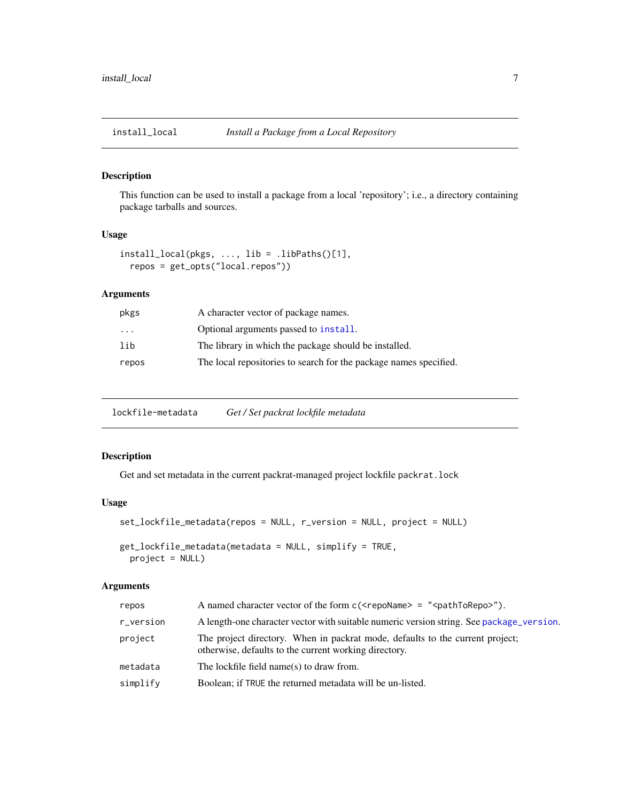<span id="page-6-0"></span>

This function can be used to install a package from a local 'repository'; i.e., a directory containing package tarballs and sources.

# Usage

```
install_local(pkgs, ..., lib = .libPaths()[1],
 repos = get_opts("local.repos"))
```
#### Arguments

| pkgs    | A character vector of package names.                              |
|---------|-------------------------------------------------------------------|
| $\cdot$ | Optional arguments passed to install.                             |
| lib     | The library in which the package should be installed.             |
| repos   | The local repositories to search for the package names specified. |

lockfile-metadata *Get / Set packrat lockfile metadata*

# Description

Get and set metadata in the current packrat-managed project lockfile packrat.lock

#### Usage

```
set_lockfile_metadata(repos = NULL, r_version = NULL, project = NULL)
```

```
get_lockfile_metadata(metadata = NULL, simplify = TRUE,
 project = NULL)
```

| repos     | A named character vector of the form $c$ ( $\leq$ repoName $>$ = " $\leq$ pathToRepo $>$ ").                                           |
|-----------|----------------------------------------------------------------------------------------------------------------------------------------|
| r_version | A length-one character vector with suitable numeric version string. See package_version.                                               |
| project   | The project directory. When in packrat mode, defaults to the current project;<br>otherwise, defaults to the current working directory. |
| metadata  | The lockfile field name(s) to draw from.                                                                                               |
| simplify  | Boolean; if TRUE the returned metadata will be un-listed.                                                                              |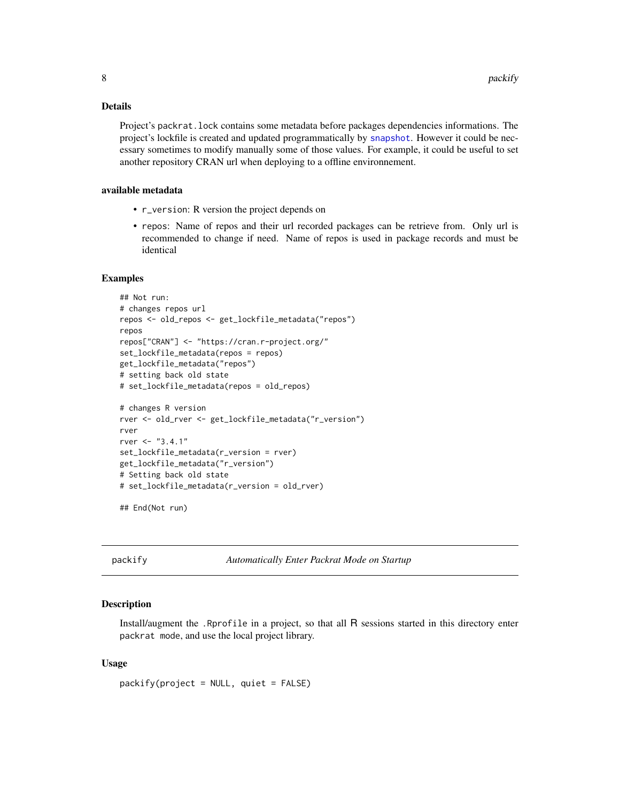# <span id="page-7-0"></span>Details

Project's packrat.lock contains some metadata before packages dependencies informations. The project's lockfile is created and updated programmatically by [snapshot](#page-17-1). However it could be necessary sometimes to modify manually some of those values. For example, it could be useful to set another repository CRAN url when deploying to a offline environnement.

# available metadata

- r\_version: R version the project depends on
- repos: Name of repos and their url recorded packages can be retrieve from. Only url is recommended to change if need. Name of repos is used in package records and must be identical

#### Examples

```
## Not run:
# changes repos url
repos <- old_repos <- get_lockfile_metadata("repos")
repos
repos["CRAN"] <- "https://cran.r-project.org/"
set_lockfile_metadata(repos = repos)
get_lockfile_metadata("repos")
# setting back old state
# set_lockfile_metadata(repos = old_repos)
# changes R version
rver <- old_rver <- get_lockfile_metadata("r_version")
rver
rver \leq "3.4.1"
set_lockfile_metadata(r_version = rver)
get_lockfile_metadata("r_version")
# Setting back old state
# set_lockfile_metadata(r_version = old_rver)
## End(Not run)
```
packify *Automatically Enter Packrat Mode on Startup*

#### Description

Install/augment the .Rprofile in a project, so that all R sessions started in this directory enter packrat mode, and use the local project library.

#### Usage

packify(project = NULL, quiet = FALSE)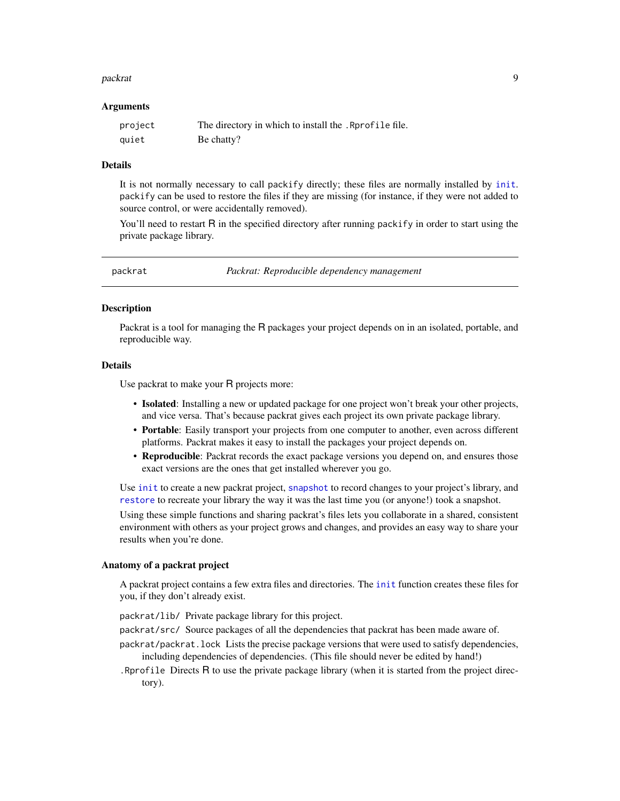#### <span id="page-8-0"></span>packrat 2008 and 2008 and 2008 and 2008 and 2008 and 2008 and 2008 and 2008 and 2008 and 2008 and 2008 and 200

#### Arguments

| project | The directory in which to install the . Repofile file. |
|---------|--------------------------------------------------------|
| quiet   | Be chatty?                                             |

#### Details

It is not normally necessary to call packify directly; these files are normally installed by [init](#page-3-1). packify can be used to restore the files if they are missing (for instance, if they were not added to source control, or were accidentally removed).

You'll need to restart R in the specified directory after running packify in order to start using the private package library.

<span id="page-8-1"></span>

packrat *Packrat: Reproducible dependency management*

#### **Description**

Packrat is a tool for managing the R packages your project depends on in an isolated, portable, and reproducible way.

#### Details

Use packrat to make your R projects more:

- Isolated: Installing a new or updated package for one project won't break your other projects, and vice versa. That's because packrat gives each project its own private package library.
- Portable: Easily transport your projects from one computer to another, even across different platforms. Packrat makes it easy to install the packages your project depends on.
- Reproducible: Packrat records the exact package versions you depend on, and ensures those exact versions are the ones that get installed wherever you go.

Use [init](#page-3-1) to create a new packrat project, [snapshot](#page-17-1) to record changes to your project's library, and [restore](#page-15-1) to recreate your library the way it was the last time you (or anyone!) took a snapshot.

Using these simple functions and sharing packrat's files lets you collaborate in a shared, consistent environment with others as your project grows and changes, and provides an easy way to share your results when you're done.

#### Anatomy of a packrat project

A packrat project contains a few extra files and directories. The [init](#page-3-1) function creates these files for you, if they don't already exist.

packrat/lib/ Private package library for this project.

- packrat/src/ Source packages of all the dependencies that packrat has been made aware of.
- packrat/packrat.lock Lists the precise package versions that were used to satisfy dependencies, including dependencies of dependencies. (This file should never be edited by hand!)
- .Rprofile Directs R to use the private package library (when it is started from the project directory).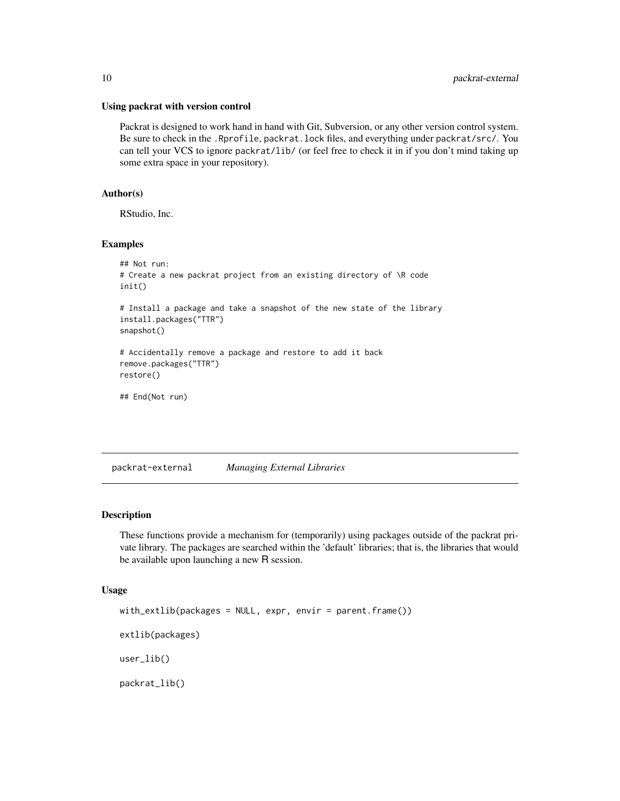#### Using packrat with version control

Packrat is designed to work hand in hand with Git, Subversion, or any other version control system. Be sure to check in the .Rprofile, packrat.lock files, and everything under packrat/src/. You can tell your VCS to ignore packrat/lib/ (or feel free to check it in if you don't mind taking up some extra space in your repository).

# Author(s)

RStudio, Inc.

# Examples

```
## Not run:
# Create a new packrat project from an existing directory of \R code
init()
# Install a package and take a snapshot of the new state of the library
install.packages("TTR")
snapshot()
# Accidentally remove a package and restore to add it back
remove.packages("TTR")
restore()
## End(Not run)
```
packrat-external *Managing External Libraries*

### Description

These functions provide a mechanism for (temporarily) using packages outside of the packrat private library. The packages are searched within the 'default' libraries; that is, the libraries that would be available upon launching a new R session.

#### Usage

```
with_extlib(packages = NULL, expr, envir = parent.frame())
extlib(packages)
user_lib()
packrat_lib()
```
<span id="page-9-0"></span>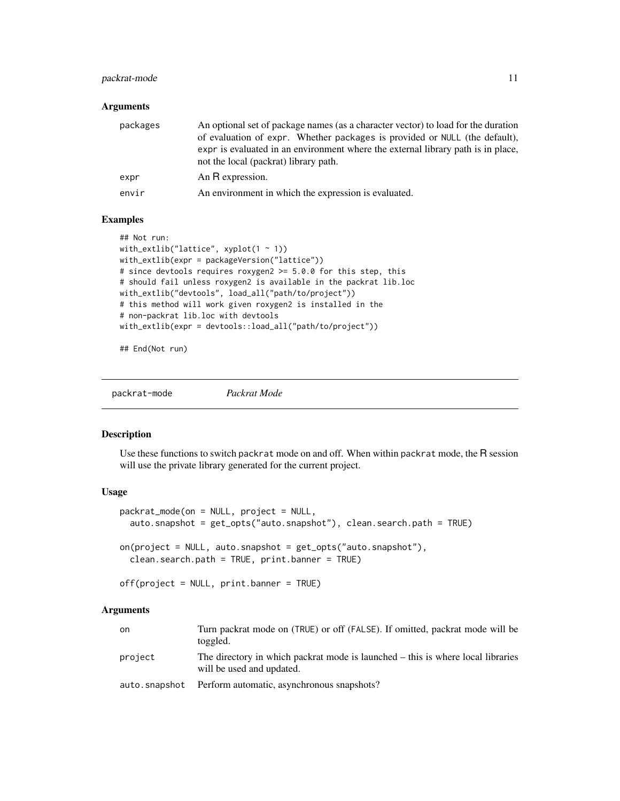# <span id="page-10-0"></span>packrat-mode 11

#### Arguments

| packages | An optional set of package names (as a character vector) to load for the duration<br>of evaluation of expr. Whether packages is provided or NULL (the default),<br>expr is evaluated in an environment where the external library path is in place,<br>not the local (packrat) library path. |
|----------|----------------------------------------------------------------------------------------------------------------------------------------------------------------------------------------------------------------------------------------------------------------------------------------------|
| expr     | An R expression.                                                                                                                                                                                                                                                                             |
| envir    | An environment in which the expression is evaluated.                                                                                                                                                                                                                                         |

#### Examples

```
## Not run:
with_extlib("lattice", xyplot(1 ~ 1))
with_extlib(expr = packageVersion("lattice"))
# since devtools requires roxygen2 >= 5.0.0 for this step, this
# should fail unless roxygen2 is available in the packrat lib.loc
with_extlib("devtools", load_all("path/to/project"))
# this method will work given roxygen2 is installed in the
# non-packrat lib.loc with devtools
with_extlib(expr = devtools::load_all("path/to/project"))
```
## End(Not run)

packrat-mode *Packrat Mode*

# <span id="page-10-1"></span>Description

Use these functions to switch packrat mode on and off. When within packrat mode, the R session will use the private library generated for the current project.

#### Usage

```
packrat_mode(on = NULL, project = NULL,
  auto.snapshot = get_opts("auto.snapshot"), clean.search.path = TRUE)
on(project = NULL, auto.snapshot = get_opts("auto.snapshot"),
 clean.search.path = TRUE, print.banner = TRUE)
```
off(project = NULL, print.banner = TRUE)

| on.     | Turn packrat mode on (TRUE) or off (FALSE). If omitted, packrat mode will be<br>toggled.                     |
|---------|--------------------------------------------------------------------------------------------------------------|
| project | The directory in which packrat mode is launched – this is where local libraries<br>will be used and updated. |
|         | auto.snapshot Perform automatic, asynchronous snapshots?                                                     |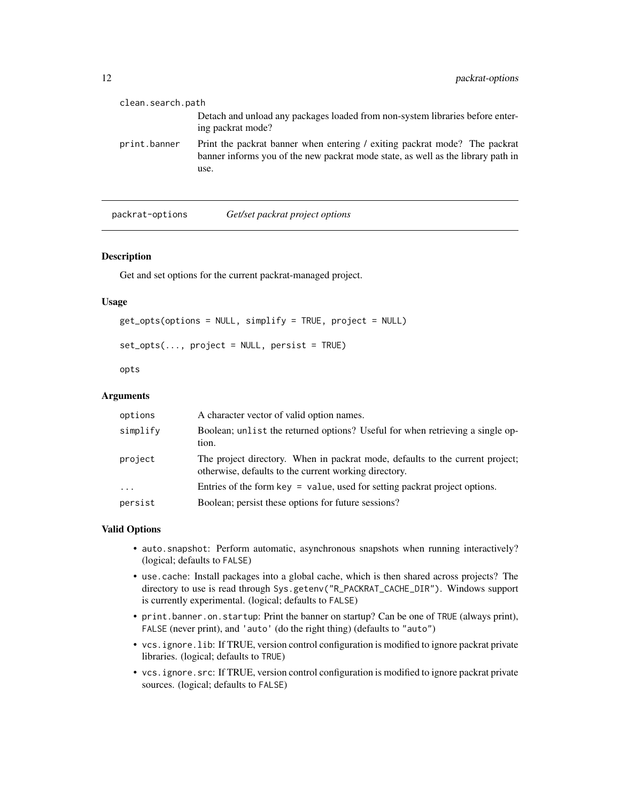<span id="page-11-0"></span>

| clean.search.path |                                                                                                                                                                        |
|-------------------|------------------------------------------------------------------------------------------------------------------------------------------------------------------------|
|                   | Detach and unload any packages loaded from non-system libraries before enter-<br>ing packrat mode?                                                                     |
| print.banner      | Print the packrat banner when entering / exiting packrat mode? The packrat<br>banner informs you of the new packrat mode state, as well as the library path in<br>use. |

<span id="page-11-1"></span>packrat-options *Get/set packrat project options*

#### Description

Get and set options for the current packrat-managed project.

#### Usage

```
get_opts(options = NULL, simplify = TRUE, project = NULL)
set\_opts(..., project = NULL, persist = TRUE)
```
opts

# Arguments

| options   | A character vector of valid option names.                                                                                              |
|-----------|----------------------------------------------------------------------------------------------------------------------------------------|
| simplify  | Boolean; unlist the returned options? Useful for when retrieving a single op-<br>tion.                                                 |
| project   | The project directory. When in packrat mode, defaults to the current project;<br>otherwise, defaults to the current working directory. |
| $\ddotsc$ | Entries of the form key $=$ value, used for setting packrat project options.                                                           |
| persist   | Boolean; persist these options for future sessions?                                                                                    |

### Valid Options

- auto.snapshot: Perform automatic, asynchronous snapshots when running interactively? (logical; defaults to FALSE)
- use.cache: Install packages into a global cache, which is then shared across projects? The directory to use is read through Sys.getenv("R\_PACKRAT\_CACHE\_DIR"). Windows support is currently experimental. (logical; defaults to FALSE)
- print.banner.on.startup: Print the banner on startup? Can be one of TRUE (always print), FALSE (never print), and 'auto' (do the right thing) (defaults to "auto")
- vcs.ignore.lib: If TRUE, version control configuration is modified to ignore packrat private libraries. (logical; defaults to TRUE)
- vcs.ignore.src: If TRUE, version control configuration is modified to ignore packrat private sources. (logical; defaults to FALSE)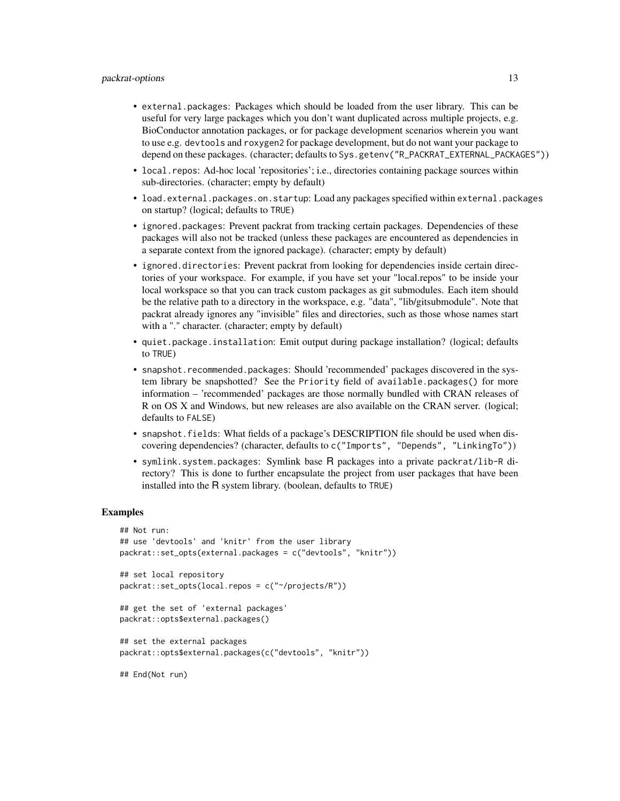#### packrat-options 13

- external.packages: Packages which should be loaded from the user library. This can be useful for very large packages which you don't want duplicated across multiple projects, e.g. BioConductor annotation packages, or for package development scenarios wherein you want to use e.g. devtools and roxygen2 for package development, but do not want your package to depend on these packages. (character; defaults to Sys.getenv("R\_PACKRAT\_EXTERNAL\_PACKAGES"))
- local.repos: Ad-hoc local 'repositories'; i.e., directories containing package sources within sub-directories. (character; empty by default)
- load.external.packages.on.startup: Load any packages specified within external.packages on startup? (logical; defaults to TRUE)
- ignored.packages: Prevent packrat from tracking certain packages. Dependencies of these packages will also not be tracked (unless these packages are encountered as dependencies in a separate context from the ignored package). (character; empty by default)
- ignored.directories: Prevent packrat from looking for dependencies inside certain directories of your workspace. For example, if you have set your "local.repos" to be inside your local workspace so that you can track custom packages as git submodules. Each item should be the relative path to a directory in the workspace, e.g. "data", "lib/gitsubmodule". Note that packrat already ignores any "invisible" files and directories, such as those whose names start with a "." character. (character; empty by default)
- quiet.package.installation: Emit output during package installation? (logical; defaults to TRUE)
- snapshot.recommended.packages: Should 'recommended' packages discovered in the system library be snapshotted? See the Priority field of available.packages() for more information – 'recommended' packages are those normally bundled with CRAN releases of R on OS X and Windows, but new releases are also available on the CRAN server. (logical; defaults to FALSE)
- snapshot.fields: What fields of a package's DESCRIPTION file should be used when discovering dependencies? (character, defaults to c("Imports", "Depends", "LinkingTo"))
- symlink.system.packages: Symlink base R packages into a private packrat/lib-R directory? This is done to further encapsulate the project from user packages that have been installed into the R system library. (boolean, defaults to TRUE)

#### Examples

```
## Not run:
## use 'devtools' and 'knitr' from the user library
packrat::set_opts(external.packages = c("devtools", "knitr"))
## set local repository
packrat::set_opts(local.repos = c("~/projects/R"))
## get the set of 'external packages'
packrat::opts$external.packages()
## set the external packages
packrat::opts$external.packages(c("devtools", "knitr"))
```
## End(Not run)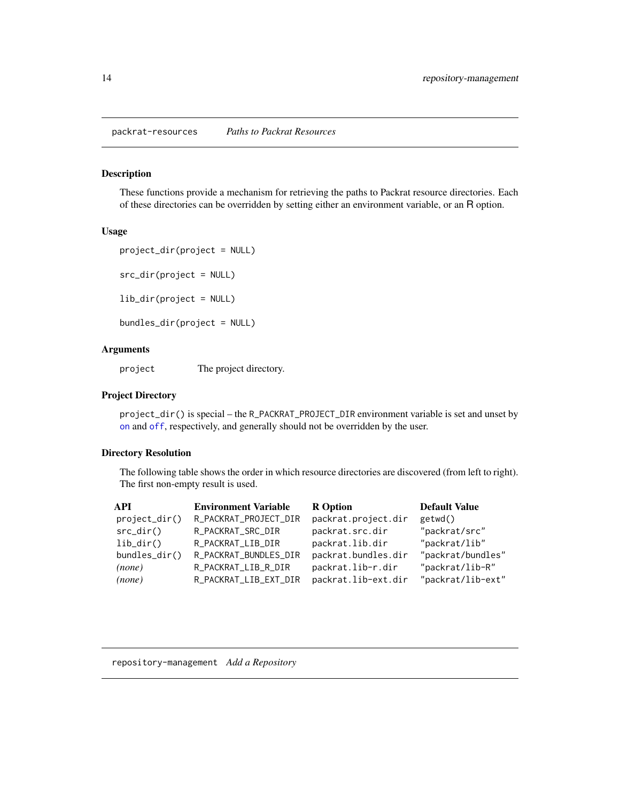<span id="page-13-0"></span>packrat-resources *Paths to Packrat Resources*

# Description

These functions provide a mechanism for retrieving the paths to Packrat resource directories. Each of these directories can be overridden by setting either an environment variable, or an R option.

#### Usage

```
project_dir(project = NULL)
```
src\_dir(project = NULL)

lib\_dir(project = NULL)

bundles\_dir(project = NULL)

# Arguments

project The project directory.

# Project Directory

project\_dir() is special – the R\_PACKRAT\_PROJECT\_DIR environment variable is set and unset by [on](#page-10-1) and [off](#page-10-1), respectively, and generally should not be overridden by the user.

#### Directory Resolution

The following table shows the order in which resource directories are discovered (from left to right). The first non-empty result is used.

| API           | <b>Environment Variable</b> | <b>R</b> Option     | <b>Default Value</b> |
|---------------|-----------------------------|---------------------|----------------------|
| project_dir() | R_PACKRAT_PROJECT_DIR       | packrat.project.dir | getwd()              |
| $src\_dir()$  | R_PACKRAT_SRC_DIR           | packrat.src.dir     | "packrat/src"        |
| $lib\_dir()$  | R_PACKRAT_LIB_DIR           | packrat.lib.dir     | "packrat/lib"        |
| bundles_dir() | R_PACKRAT_BUNDLES_DIR       | packrat.bundles.dir | "packrat/bundles"    |
| (none)        | R_PACKRAT_LIB_R_DIR         | packrat.lib-r.dir   | "packrat/lib-R"      |
| (none)        | R_PACKRAT_LIB_EXT_DIR       | packrat.lib-ext.dir | "packrat/lib-ext"    |

# repository-management *Add a Repository*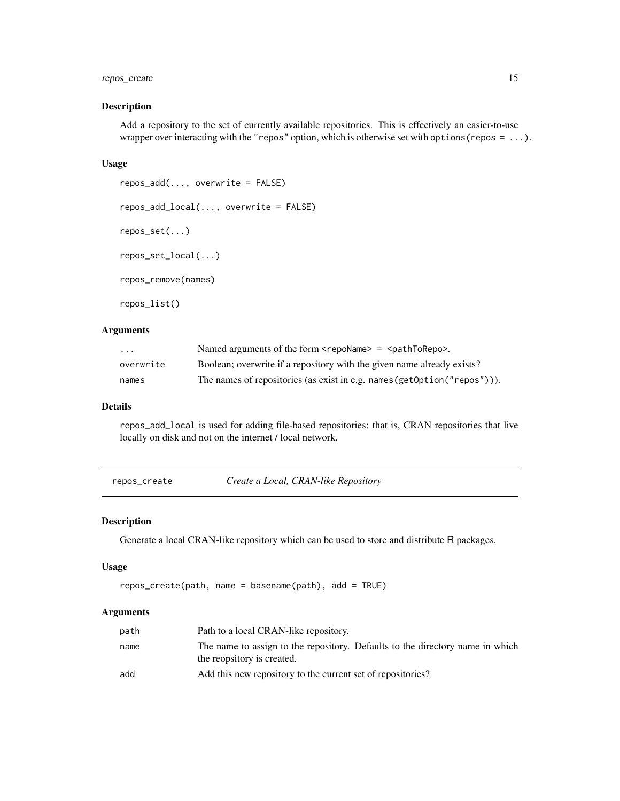# <span id="page-14-0"></span>repos\_create 15

# Description

Add a repository to the set of currently available repositories. This is effectively an easier-to-use wrapper over interacting with the "repos" option, which is otherwise set with options (repos = ...).

#### Usage

```
repos_add(..., overwrite = FALSE)
repos_add_local(..., overwrite = FALSE)
repos_set(...)
repos_set_local(...)
repos_remove(names)
repos_list()
```
# Arguments

| .         | Named arguments of the form $\langle$ repoName $\rangle$ = $\langle$ pathToRepo $\rangle$ . |
|-----------|---------------------------------------------------------------------------------------------|
| overwrite | Boolean; overwrite if a repository with the given name already exists?                      |
| names     | The names of repositories (as exist in e.g. names (getOption ("repos"))).                   |

#### Details

repos\_add\_local is used for adding file-based repositories; that is, CRAN repositories that live locally on disk and not on the internet / local network.

repos\_create *Create a Local, CRAN-like Repository*

#### Description

Generate a local CRAN-like repository which can be used to store and distribute R packages.

### Usage

```
repos_create(path, name = basename(path), add = TRUE)
```

| path | Path to a local CRAN-like repository.                                                                       |
|------|-------------------------------------------------------------------------------------------------------------|
| name | The name to assign to the repository. Defaults to the directory name in which<br>the reopsitory is created. |
| add  | Add this new repository to the current set of repositories?                                                 |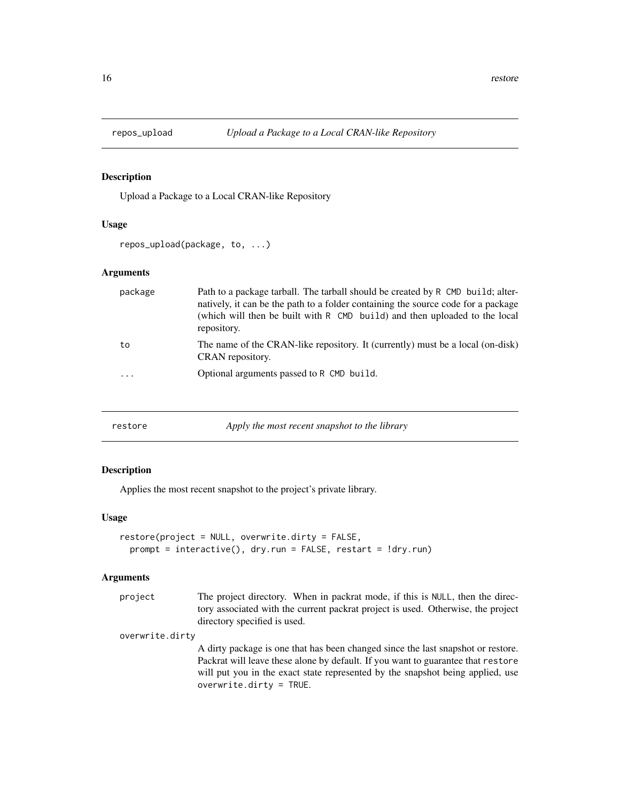<span id="page-15-0"></span>

Upload a Package to a Local CRAN-like Repository

#### Usage

```
repos_upload(package, to, ...)
```
# Arguments

| package | Path to a package tarball. The tarball should be created by R CMD build; alter-<br>natively, it can be the path to a folder containing the source code for a package<br>(which will then be built with R CMD build) and then uploaded to the local<br>repository. |
|---------|-------------------------------------------------------------------------------------------------------------------------------------------------------------------------------------------------------------------------------------------------------------------|
| to      | The name of the CRAN-like repository. It (currently) must be a local (on-disk)<br>CRAN repository.                                                                                                                                                                |
| .       | Optional arguments passed to R CMD build.                                                                                                                                                                                                                         |

<span id="page-15-1"></span>

| Apply the most recent snapshot to the library<br>restore |  |
|----------------------------------------------------------|--|
|----------------------------------------------------------|--|

# Description

Applies the most recent snapshot to the project's private library.

# Usage

```
restore(project = NULL, overwrite.dirty = FALSE,
 prompt = interactive(), dry.run = FALSE, restart = !dry.run)
```

| project         | The project directory. When in packrat mode, if this is NULL, then the direc-<br>tory associated with the current packrat project is used. Otherwise, the project<br>directory specified is used.                                                                                   |
|-----------------|-------------------------------------------------------------------------------------------------------------------------------------------------------------------------------------------------------------------------------------------------------------------------------------|
| overwrite.dirty |                                                                                                                                                                                                                                                                                     |
|                 | A dirty package is one that has been changed since the last snapshot or restore.<br>Packrat will leave these alone by default. If you want to guarantee that restore<br>will put you in the exact state represented by the snapshot being applied, use<br>overwrite.dirty = $TRUE.$ |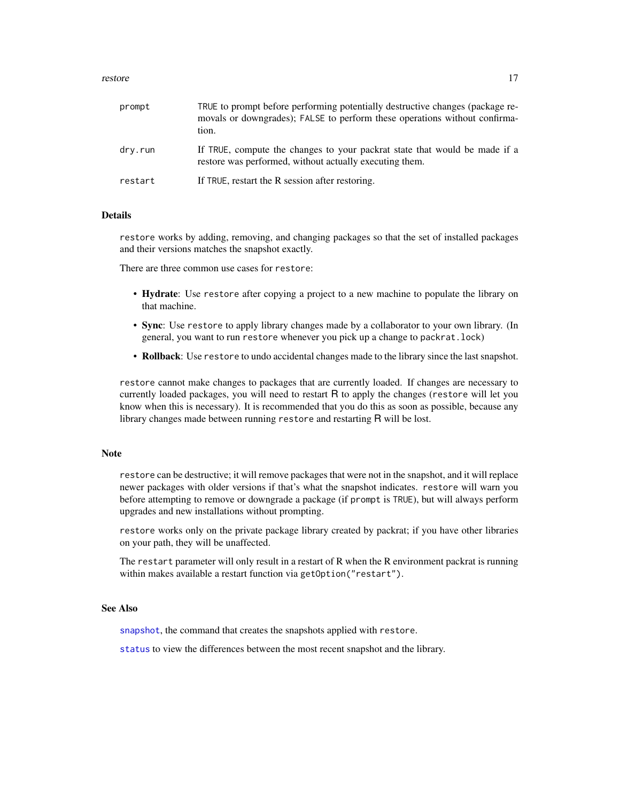#### <span id="page-16-0"></span>restore that the set of the set of the set of the set of the set of the set of the set of the set of the set of the set of the set of the set of the set of the set of the set of the set of the set of the set of the set of

| prompt  | TRUE to prompt before performing potentially destructive changes (package re-<br>movals or downgrades); FALSE to perform these operations without confirma-<br>tion. |
|---------|----------------------------------------------------------------------------------------------------------------------------------------------------------------------|
| dry.run | If TRUE, compute the changes to your packrat state that would be made if a<br>restore was performed, without actually executing them.                                |
| restart | If TRUE, restart the R session after restoring.                                                                                                                      |

#### Details

restore works by adding, removing, and changing packages so that the set of installed packages and their versions matches the snapshot exactly.

There are three common use cases for restore:

- Hydrate: Use restore after copying a project to a new machine to populate the library on that machine.
- Sync: Use restore to apply library changes made by a collaborator to your own library. (In general, you want to run restore whenever you pick up a change to packrat.lock)
- Rollback: Use restore to undo accidental changes made to the library since the last snapshot.

restore cannot make changes to packages that are currently loaded. If changes are necessary to currently loaded packages, you will need to restart R to apply the changes (restore will let you know when this is necessary). It is recommended that you do this as soon as possible, because any library changes made between running restore and restarting R will be lost.

#### Note

restore can be destructive; it will remove packages that were not in the snapshot, and it will replace newer packages with older versions if that's what the snapshot indicates. restore will warn you before attempting to remove or downgrade a package (if prompt is TRUE), but will always perform upgrades and new installations without prompting.

restore works only on the private package library created by packrat; if you have other libraries on your path, they will be unaffected.

The restart parameter will only result in a restart of R when the R environment packrat is running within makes available a restart function via getOption("restart").

#### See Also

[snapshot](#page-17-1), the command that creates the snapshots applied with restore.

[status](#page-18-1) to view the differences between the most recent snapshot and the library.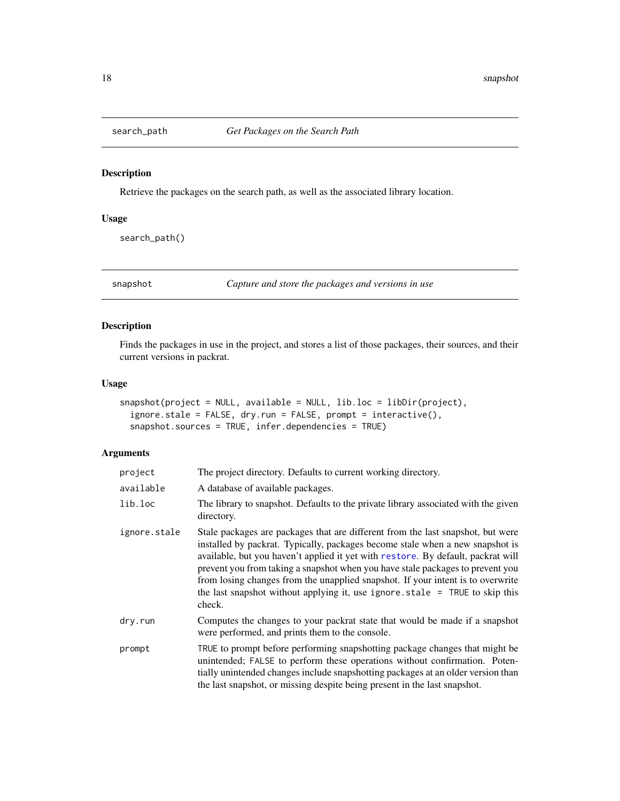<span id="page-17-0"></span>

Retrieve the packages on the search path, as well as the associated library location.

#### Usage

search\_path()

<span id="page-17-1"></span>snapshot *Capture and store the packages and versions in use*

# Description

Finds the packages in use in the project, and stores a list of those packages, their sources, and their current versions in packrat.

# Usage

```
snapshot(project = NULL, available = NULL, lib.loc = libDir(project),
  ignore.stale = FALSE, dry.run = FALSE, prompt = interactive(),
 snapshot.sources = TRUE, infer.dependencies = TRUE)
```

| project      | The project directory. Defaults to current working directory.                                                                                                                                                                                                                                                                                                                                                                                                                                                                      |
|--------------|------------------------------------------------------------------------------------------------------------------------------------------------------------------------------------------------------------------------------------------------------------------------------------------------------------------------------------------------------------------------------------------------------------------------------------------------------------------------------------------------------------------------------------|
| available    | A database of available packages.                                                                                                                                                                                                                                                                                                                                                                                                                                                                                                  |
| lib.loc      | The library to snapshot. Defaults to the private library associated with the given<br>directory.                                                                                                                                                                                                                                                                                                                                                                                                                                   |
| ignore.stale | Stale packages are packages that are different from the last snapshot, but were<br>installed by packrat. Typically, packages become stale when a new snapshot is<br>available, but you haven't applied it yet with restore. By default, packrat will<br>prevent you from taking a snapshot when you have stale packages to prevent you<br>from losing changes from the unapplied snapshot. If your intent is to overwrite<br>the last snapshot without applying it, use ignore $\text{state} = \text{TRUE}$ to skip this<br>check. |
| dry.run      | Computes the changes to your packrat state that would be made if a snapshot<br>were performed, and prints them to the console.                                                                                                                                                                                                                                                                                                                                                                                                     |
| prompt       | TRUE to prompt before performing snapshotting package changes that might be<br>unintended; FALSE to perform these operations without confirmation. Poten-<br>tially unintended changes include snapshotting packages at an older version than<br>the last snapshot, or missing despite being present in the last snapshot.                                                                                                                                                                                                         |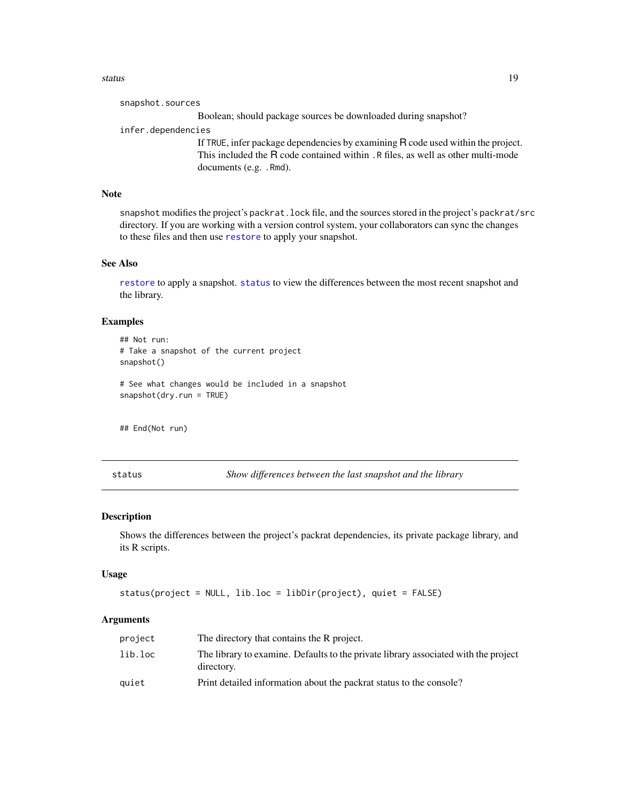#### <span id="page-18-0"></span>status and the status of the status and the status of the status of the status of the status of the status of the status of the status of the status of the status of the status of the status of the status of the status of

snapshot.sources Boolean; should package sources be downloaded during snapshot? infer.dependencies If TRUE, infer package dependencies by examining R code used within the project. This included the R code contained within .R files, as well as other multi-mode

#### Note

snapshot modifies the project's packrat.lock file, and the sources stored in the project's packrat/src directory. If you are working with a version control system, your collaborators can sync the changes to these files and then use [restore](#page-15-1) to apply your snapshot.

# See Also

[restore](#page-15-1) to apply a snapshot. [status](#page-18-1) to view the differences between the most recent snapshot and the library.

#### Examples

```
## Not run:
# Take a snapshot of the current project
snapshot()
```
documents (e.g. .Rmd).

# See what changes would be included in a snapshot snapshot(dry.run = TRUE)

## End(Not run)

<span id="page-18-1"></span>status *Show differences between the last snapshot and the library*

# Description

Shows the differences between the project's packrat dependencies, its private package library, and its R scripts.

#### Usage

```
status(project = NULL, lib.loc = libDir(project), quiet = FALSE)
```

| project | The directory that contains the R project.                                                        |
|---------|---------------------------------------------------------------------------------------------------|
| lib.loc | The library to examine. Defaults to the private library associated with the project<br>directory. |
| quiet   | Print detailed information about the packrat status to the console?                               |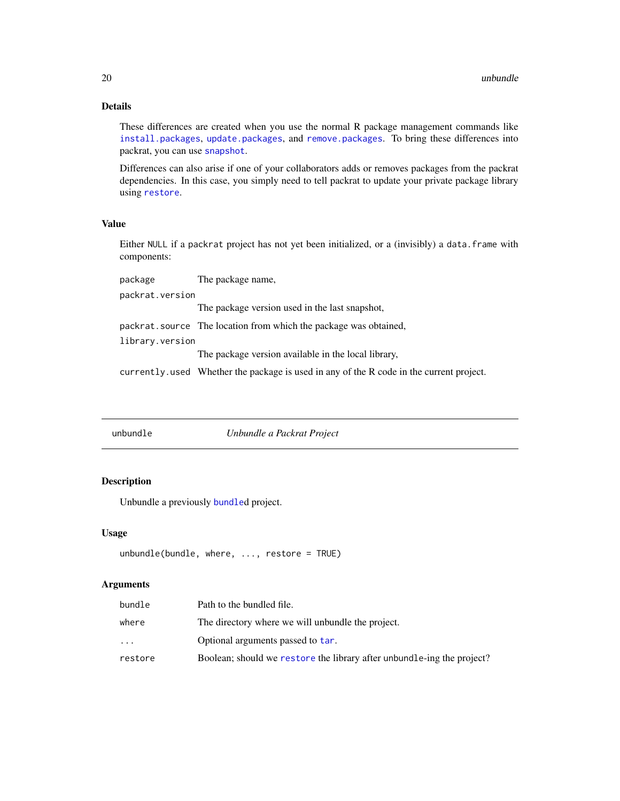# <span id="page-19-0"></span>Details

These differences are created when you use the normal R package management commands like [install.packages](#page-0-0), [update.packages](#page-0-0), and [remove.packages](#page-0-0). To bring these differences into packrat, you can use [snapshot](#page-17-1).

Differences can also arise if one of your collaborators adds or removes packages from the packrat dependencies. In this case, you simply need to tell packrat to update your private package library using [restore](#page-15-1).

# Value

Either NULL if a packrat project has not yet been initialized, or a (invisibly) a data.frame with components:

package The package name, packrat.version The package version used in the last snapshot, packrat.source The location from which the package was obtained, library.version The package version available in the local library,

currently.used Whether the package is used in any of the R code in the current project.

<span id="page-19-1"></span>

| unbundle |  |
|----------|--|
|          |  |

unbundle *Unbundle a Packrat Project*

# Description

Unbundle a previously [bundle](#page-1-1)d project.

#### Usage

```
unbundle(bundle, where, ..., restore = TRUE)
```

| bundle    | Path to the bundled file.                                              |
|-----------|------------------------------------------------------------------------|
| where     | The directory where we will unbundle the project.                      |
| $\ddotsc$ | Optional arguments passed to tar.                                      |
| restore   | Boolean; should we restore the library after unbundle-ing the project? |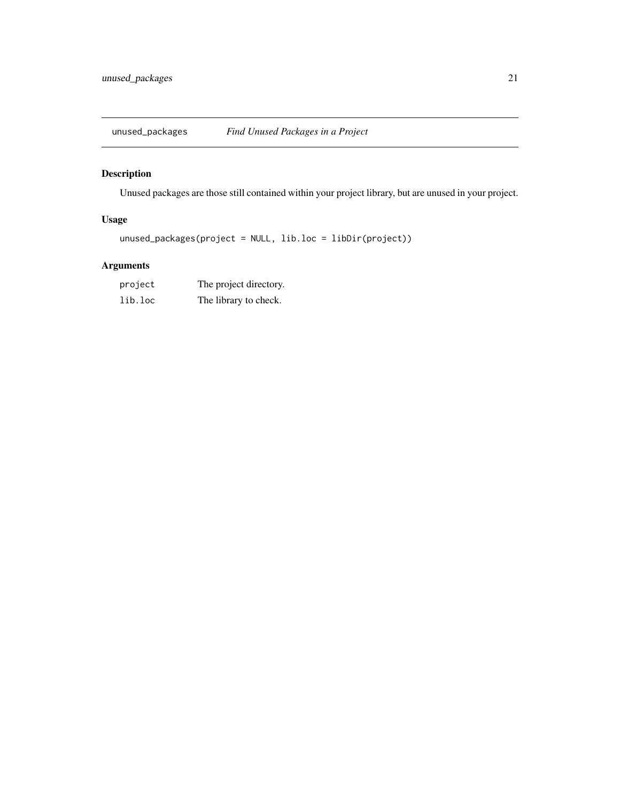<span id="page-20-1"></span><span id="page-20-0"></span>

Unused packages are those still contained within your project library, but are unused in your project.

# Usage

```
unused_packages(project = NULL, lib.loc = libDir(project))
```

| project | The project directory. |
|---------|------------------------|
| lib.loc | The library to check.  |